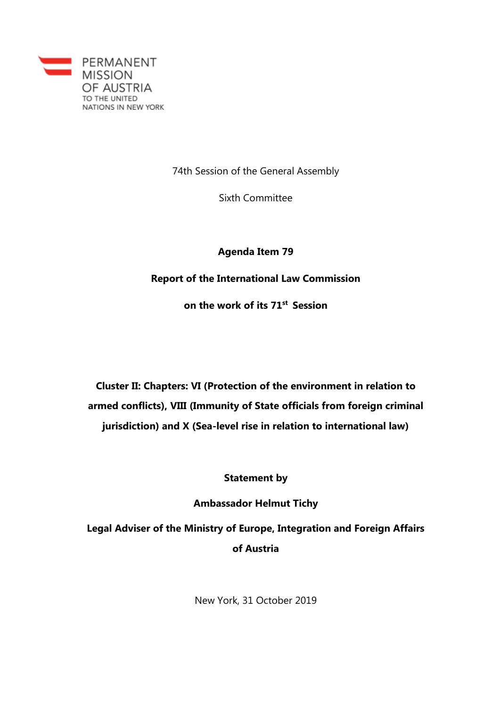

74th Session of the General Assembly

Sixth Committee

**Agenda Item 79**

**Report of the International Law Commission**

**on the work of its 71st Session**

**Cluster II: Chapters: VI (Protection of the environment in relation to armed conflicts), VIII (Immunity of State officials from foreign criminal jurisdiction) and X (Sea-level rise in relation to international law)**

**Statement by**

**Ambassador Helmut Tichy**

**Legal Adviser of the Ministry of Europe, Integration and Foreign Affairs of Austria**

New York, 31 October 2019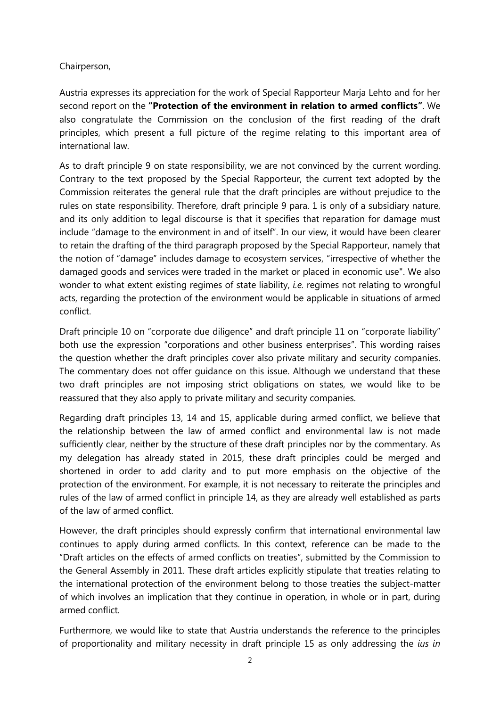## Chairperson,

Austria expresses its appreciation for the work of Special Rapporteur Marja Lehto and for her second report on the **"Protection of the environment in relation to armed conflicts"**. We also congratulate the Commission on the conclusion of the first reading of the draft principles, which present a full picture of the regime relating to this important area of international law.

As to draft principle 9 on state responsibility, we are not convinced by the current wording. Contrary to the text proposed by the Special Rapporteur, the current text adopted by the Commission reiterates the general rule that the draft principles are without prejudice to the rules on state responsibility. Therefore, draft principle 9 para. 1 is only of a subsidiary nature, and its only addition to legal discourse is that it specifies that reparation for damage must include "damage to the environment in and of itself". In our view, it would have been clearer to retain the drafting of the third paragraph proposed by the Special Rapporteur, namely that the notion of "damage" includes damage to ecosystem services, "irrespective of whether the damaged goods and services were traded in the market or placed in economic use". We also wonder to what extent existing regimes of state liability, *i.e.* regimes not relating to wrongful acts, regarding the protection of the environment would be applicable in situations of armed conflict.

Draft principle 10 on "corporate due diligence" and draft principle 11 on "corporate liability" both use the expression "corporations and other business enterprises". This wording raises the question whether the draft principles cover also private military and security companies. The commentary does not offer guidance on this issue. Although we understand that these two draft principles are not imposing strict obligations on states, we would like to be reassured that they also apply to private military and security companies.

Regarding draft principles 13, 14 and 15, applicable during armed conflict, we believe that the relationship between the law of armed conflict and environmental law is not made sufficiently clear, neither by the structure of these draft principles nor by the commentary. As my delegation has already stated in 2015, these draft principles could be merged and shortened in order to add clarity and to put more emphasis on the objective of the protection of the environment. For example, it is not necessary to reiterate the principles and rules of the law of armed conflict in principle 14, as they are already well established as parts of the law of armed conflict.

However, the draft principles should expressly confirm that international environmental law continues to apply during armed conflicts. In this context, reference can be made to the "Draft articles on the effects of armed conflicts on treaties", submitted by the Commission to the General Assembly in 2011. These draft articles explicitly stipulate that treaties relating to the international protection of the environment belong to those treaties the subject-matter of which involves an implication that they continue in operation, in whole or in part, during armed conflict.

Furthermore, we would like to state that Austria understands the reference to the principles of proportionality and military necessity in draft principle 15 as only addressing the *ius in*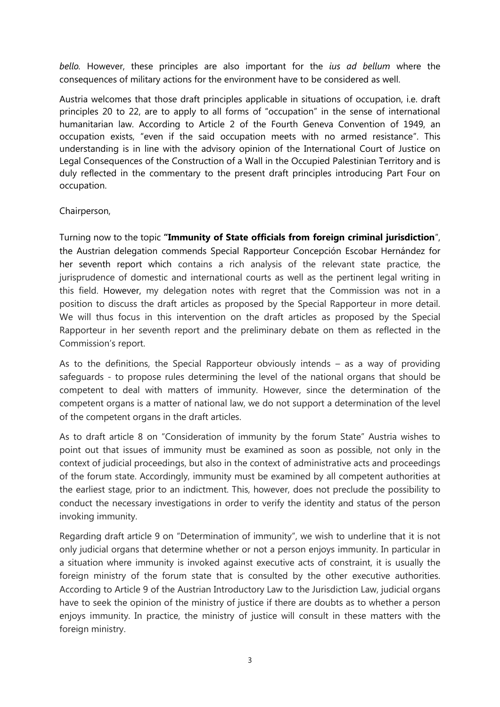*bello.* However, these principles are also important for the *ius ad bellum* where the consequences of military actions for the environment have to be considered as well.

Austria welcomes that those draft principles applicable in situations of occupation, i.e. draft principles 20 to 22, are to apply to all forms of "occupation" in the sense of international humanitarian law. According to Article 2 of the Fourth Geneva Convention of 1949, an occupation exists, "even if the said occupation meets with no armed resistance". This understanding is in line with the advisory opinion of the International Court of Justice on Legal Consequences of the Construction of a Wall in the Occupied Palestinian Territory and is duly reflected in the commentary to the present draft principles introducing Part Four on occupation.

Chairperson,

Turning now to the topic **"Immunity of State officials from foreign criminal jurisdiction**", the Austrian delegation commends Special Rapporteur Concepción Escobar Hernández for her seventh report which contains a rich analysis of the relevant state practice, the jurisprudence of domestic and international courts as well as the pertinent legal writing in this field. However, my delegation notes with regret that the Commission was not in a position to discuss the draft articles as proposed by the Special Rapporteur in more detail. We will thus focus in this intervention on the draft articles as proposed by the Special Rapporteur in her seventh report and the preliminary debate on them as reflected in the Commission's report.

As to the definitions, the Special Rapporteur obviously intends – as a way of providing safeguards - to propose rules determining the level of the national organs that should be competent to deal with matters of immunity. However, since the determination of the competent organs is a matter of national law, we do not support a determination of the level of the competent organs in the draft articles.

As to draft article 8 on "Consideration of immunity by the forum State" Austria wishes to point out that issues of immunity must be examined as soon as possible, not only in the context of judicial proceedings, but also in the context of administrative acts and proceedings of the forum state. Accordingly, immunity must be examined by all competent authorities at the earliest stage, prior to an indictment. This, however, does not preclude the possibility to conduct the necessary investigations in order to verify the identity and status of the person invoking immunity.

Regarding draft article 9 on "Determination of immunity", we wish to underline that it is not only judicial organs that determine whether or not a person enjoys immunity. In particular in a situation where immunity is invoked against executive acts of constraint, it is usually the foreign ministry of the forum state that is consulted by the other executive authorities. According to Article 9 of the Austrian Introductory Law to the Jurisdiction Law, judicial organs have to seek the opinion of the ministry of justice if there are doubts as to whether a person enjoys immunity. In practice, the ministry of justice will consult in these matters with the foreign ministry.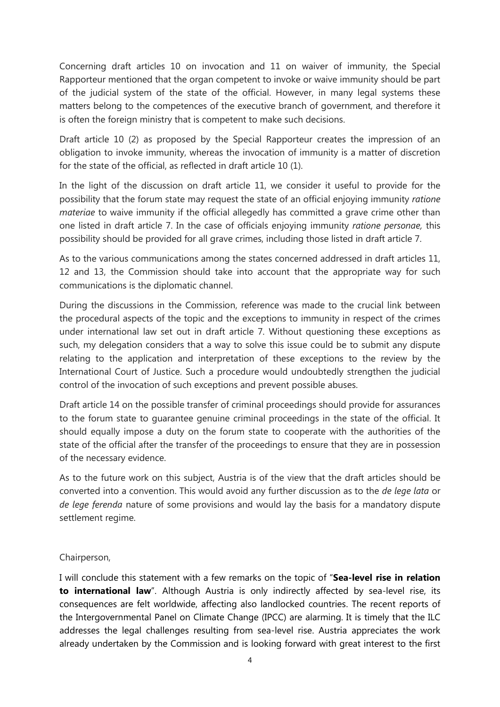Concerning draft articles 10 on invocation and 11 on waiver of immunity, the Special Rapporteur mentioned that the organ competent to invoke or waive immunity should be part of the judicial system of the state of the official. However, in many legal systems these matters belong to the competences of the executive branch of government, and therefore it is often the foreign ministry that is competent to make such decisions.

Draft article 10 (2) as proposed by the Special Rapporteur creates the impression of an obligation to invoke immunity, whereas the invocation of immunity is a matter of discretion for the state of the official, as reflected in draft article 10 (1).

In the light of the discussion on draft article 11, we consider it useful to provide for the possibility that the forum state may request the state of an official enjoying immunity *ratione materiae* to waive immunity if the official allegedly has committed a grave crime other than one listed in draft article 7. In the case of officials enjoying immunity *ratione personae,* this possibility should be provided for all grave crimes, including those listed in draft article 7.

As to the various communications among the states concerned addressed in draft articles 11, 12 and 13, the Commission should take into account that the appropriate way for such communications is the diplomatic channel.

During the discussions in the Commission, reference was made to the crucial link between the procedural aspects of the topic and the exceptions to immunity in respect of the crimes under international law set out in draft article 7. Without questioning these exceptions as such, my delegation considers that a way to solve this issue could be to submit any dispute relating to the application and interpretation of these exceptions to the review by the International Court of Justice. Such a procedure would undoubtedly strengthen the judicial control of the invocation of such exceptions and prevent possible abuses.

Draft article 14 on the possible transfer of criminal proceedings should provide for assurances to the forum state to guarantee genuine criminal proceedings in the state of the official. It should equally impose a duty on the forum state to cooperate with the authorities of the state of the official after the transfer of the proceedings to ensure that they are in possession of the necessary evidence.

As to the future work on this subject, Austria is of the view that the draft articles should be converted into a convention. This would avoid any further discussion as to the *de lege lata* or *de lege ferenda* nature of some provisions and would lay the basis for a mandatory dispute settlement regime.

## Chairperson,

I will conclude this statement with a few remarks on the topic of "**Sea-level rise in relation to international law**". Although Austria is only indirectly affected by sea-level rise, its consequences are felt worldwide, affecting also landlocked countries. The recent reports of the Intergovernmental Panel on Climate Change (IPCC) are alarming. It is timely that the ILC addresses the legal challenges resulting from sea-level rise. Austria appreciates the work already undertaken by the Commission and is looking forward with great interest to the first